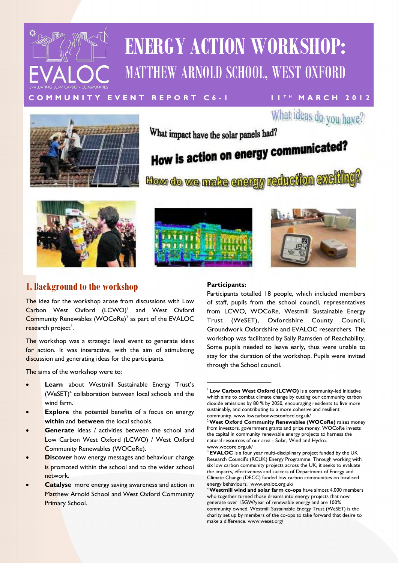

## **ENERGY ACTION WORKSHOP:**  MATTHEW ARNOLD SCHOOL, WEST OXFORD



What ideas do you have?

What impact have the solar panels had?

# How is action on energy communicated?

How do we make energy reduction ex







## **1. Background to the workshop**

The idea for the workshop arose from discussions with Low Carbon West Oxford (LCWO)<sup>1</sup> and West Oxford Community Renewables (WOCoRe)<sup>2</sup> as part of the EVALOC research project<sup>3</sup>.

The workshop was a strategic level event to generate ideas for action. It was interactive, with the aim of stimulating discussion and generating ideas for the participants.

The aims of the workshop were to:

- **Learn** about Westmill Sustainable Energy Trust's  $(WeSET)<sup>4</sup>$  collaboration between local schools and the wind farm.
- **Explore** the potential benefits of a focus on energy **within** and **between** the local schools.
- **Generate** ideas / activities between the school and Low Carbon West Oxford (LCWO) / West Oxford Community Renewables (WOCoRe).
- **Discover** how energy messages and behaviour change is promoted within the school and to the wider school network.
- **Catalyse** more energy saving awareness and action in Matthew Arnold School and West Oxford Community Primary School.

#### **Participants:**

Participants totalled 18 people, which included members of staff, pupils from the school council, representatives from LCWO, WOCoRe, Westmill Sustainable Energy Trust (WeSET), Oxfordshire County Council, Groundwork Oxfordshire and EVALOC researchers. The workshop was facilitated by Sally Ramsden of Reachability. Some pupils needed to leave early, thus were unable to stay for the duration of the workshop. Pupils were invited through the School council.

<sup>1</sup>**Low Carbon West Oxford (LCWO)** is a community-led initiative which aims to combat climate change by cutting our community carbon dioxide emissions by 80 % by 2050, encouraging residents to live more sustainably, and contributing to a more cohesive and resilient community. www.lowcarbonwestoxford.org.uk/

<sup>2</sup>**West Oxford Community Renewables (WOCoRe)** raises money from investors, government grants and prize money. WOCoRe invests the capital in community renewable energy projects to harness the natural resources of our area - Solar, Wind and Hydro. www.wocore.org.uk/

<sup>3</sup> **EVALOC** is a four year multi-disciplinary project funded by the UK Research Council's (RCUK) Energy Programme. Through working with six low carbon community projects across the UK, it seeks to evaluate the impacts, effectiveness and success of Department of Energy and Climate Change (DECC) funded low carbon communities on localised energy behaviours. www.evaloc.org.uk/

<sup>4</sup>**Westmill wind and solar farm co-ops** have almost 4,000 members who together turned those dreams into energy projects that now generate over 15GW/year of renewable energy and are 100% community owned. Westmill Sustainable Energy Trust (WeSET) is the charity set up by members of the co-ops to take forward that desire to make a difference. www.weset.org/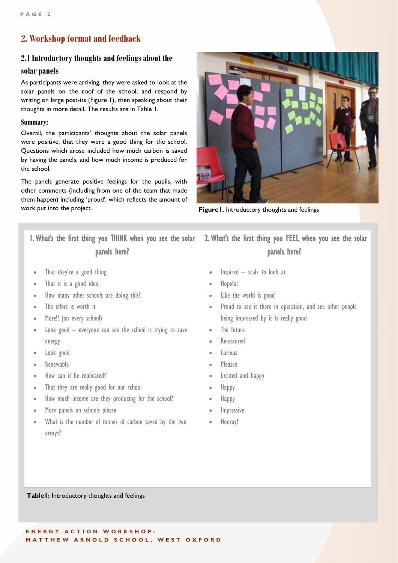## **2. Workshop format and feedback**

#### **2.1 Introductory thoughts and feelings about the**

#### **solar panels**

As participants were arriving, they were asked to look at the solar panels on the roof of the school, and respond by writing on large post-its (Figure 1), then speaking about their thoughts in more detail. The results are in Table 1.

#### **Summary:**

Overall, the participants' thoughts about the solar panels were positive, that they were a good thing for the school. Questions which arose included how much carbon is saved by having the panels, and how much income is produced for the school.

The panels generate positive feelings for the pupils, with other comments (including from one of the team that made them happen) including 'proud', which reflects the amount of work put into the project.



**Figure1.** Introductory thoughts and feelings

1. What's the first thing you THINK when you see the solar panels here?

- That they're a good thing
- That it is a good idea
- How many other schools are doing this?
- The effort is worth it
- More!! (on every school)
- Look good everyone can see the school is trying to save energy
- Look good
- Renewable
- How can it be replicated?
- That they are really good for our school
- How much income are they producing for the school?
- More panels on schools please
- What is the number of tonnes of carbon saved by the two arrays?

2. What's the first thing you FEEL when you see the solar panels here?

- Inspired scale to look at
- Hopeful
- Like the world is good
- Proud to see it there in operation, and see other people being impressed by it is really good
- The future
- Re-assured
- Curious
- Pleased
- Excited and happy
- Happy
- Happy
- Impressive
- Hooray!

**Table1:** Introductory thoughts and feelings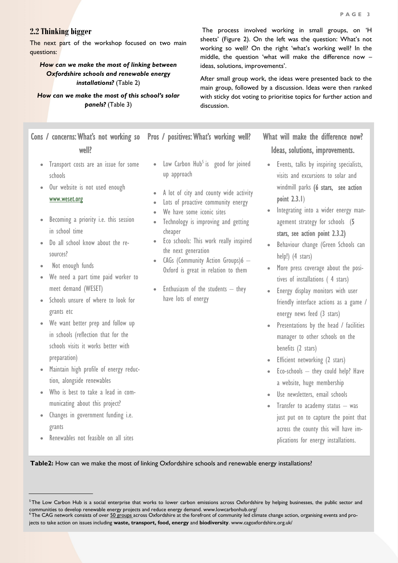#### **2.2 Thinking bigger**

The next part of the workshop focused on two main questions:

#### *How can we make the most of linking between Oxfordshire schools and renewable energy installations?* (Table 2)

#### *How can we make the most of this school's solar panels?* (Table 3)

## Cons / concerns: What's not working so Pros / positives: What's working well? well?

- Transport costs are an issue for some schools
- Our website is not used enough

#### [www.weset.org](http://www.weset.org)

- Becoming a priority i.e. this session in school time
- Do all school know about the resources?
- Not enough funds
- We need a part time paid worker to meet demand (WESET)
- Schools unsure of where to look for grants etc
- We want better prep and follow up in schools (reflection that for the schools visits it works better with preparation)
- Maintain high profile of energy reduction, alongside renewables
- Who is best to take a lead in communicating about this project?
- Changes in government funding i.e. grants
- Renewables not feasible on all sites
- $\bullet$  Low Carbon Hub<sup>5</sup> is good for joined up approach
- A lot of city and county wide activity
- Lots of proactive community energy
- We have some iconic sites
- Technology is improving and getting cheaper
- Eco schools: This work really inspired the next generation
- CAGs (Community Action Groups)6 -Oxford is great in relation to them
- $\bullet$  Enthusiasm of the students  $-$  they have lots of energy

The process involved working in small groups, on 'H sheets' (Figure 2). On the left was the question: What's not working so well? On the right 'what's working well? In the middle, the question 'what will make the difference now – ideas, solutions, improvements'.

After small group work, the ideas were presented back to the main group, followed by a discussion. Ideas were then ranked with sticky dot voting to prioritise topics for further action and discussion.

## What will make the difference now? Ideas, solutions, improvements.

- Events, talks by inspiring specialists, visits and excursions to solar and windmill parks (6 stars, see action point 2.3.1)
- Integrating into a wider energy management strategy for schools (5 stars, see action point 2.3.2)
- Behaviour change (Green Schools can help!) (4 stars)
- More press coverage about the positives of installations ( 4 stars)
- Energy display monitors with user friendly interface actions as a game / energy news feed (3 stars)
- Presentations by the head / facilities manager to other schools on the benefits (2 stars)
- Efficient networking (2 stars)
- $\bullet$  Eco-schools  $-$  they could help? Have a website, huge membership
- Use newsletters, email schools
- $\bullet$  Transfer to academy status  $-$  was just put on to capture the point that across the county this will have implications for energy installations.

**Table2:** How can we make the most of linking Oxfordshire schools and renewable energy installations?

<sup>&</sup>lt;sup>5</sup>The Low Carbon Hub is a social enterprise that works to lower carbon emissions across Oxfordshire by helping businesses, the public sector and communities to develop renewable energy projects and reduce energy demand. www.lowcarbonhub.org/

 $^6$  The CAG network consists of over <u>[50 groups](http://www.cagoxfordshire.org.uk/cags)</u> across Oxfordshire at the forefront of community led climate change action, organising events and projects to take action on issues including **waste, transport, food, energy** and **biodiversity**. www.cagoxfordshire.org.uk/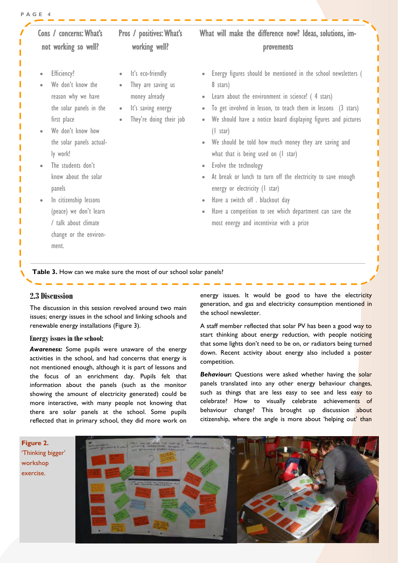#### **P A G E 4**

| Cons / concerns: What's<br>not working so well?                                                                                                                                                                                             | <b>Pros</b> / positives: What's<br>working well?                                                                                                 | What will make the difference now? Ideas, solutions, im-<br>provements                                                                                                                                                                                                                                                                                                                 |
|---------------------------------------------------------------------------------------------------------------------------------------------------------------------------------------------------------------------------------------------|--------------------------------------------------------------------------------------------------------------------------------------------------|----------------------------------------------------------------------------------------------------------------------------------------------------------------------------------------------------------------------------------------------------------------------------------------------------------------------------------------------------------------------------------------|
| Efficiency?<br>$\bullet$<br>$\bullet$<br>We don't know the<br>$\bullet$<br>$\bullet$<br>reason why we have<br>the solar panels in the<br>$\bullet$<br>first place<br>$\bullet$<br>We don't know how<br>the solar panels actual-<br>ly work! | It's eco-friendly<br>$\bullet$<br>They are saving us<br>money already<br>$\bullet$<br>It's saving energy<br>$\bullet$<br>They're doing their job | Energy figures should be mentioned in the school newsletters (<br>8 stars)<br>Learn about the environment in science! (4 stars)<br>To get involved in lesson, to teach them in lessons (3 stars)<br>We should have a notice board displaying figures and pictures<br>$(1 \text{ star})$<br>We should be told how much money they are saving and<br>what that is being used on (I star) |
| The students don't<br>know about the solar<br>panels                                                                                                                                                                                        | $\bullet$                                                                                                                                        | Evolve the technology<br>At break or lunch to turn off the electricity to save enough<br>energy or electricity (I star)                                                                                                                                                                                                                                                                |
| In citizenship lessons<br>(peace) we don't learn<br>/ talk about climate<br>change or the environ-<br>ment.                                                                                                                                 | $\bullet$                                                                                                                                        | Have a switch off . blackout day<br>Have a competition to see which department can save the<br>most energy and incentivise with a prize                                                                                                                                                                                                                                                |

#### **2.3 Discussion**

The discussion in this session revolved around two main issues; energy issues in the school and linking schools and renewable energy installations (Figure 3).

#### **Energy issues in the school:**

*Awareness:* Some pupils were unaware of the energy activities in the school, and had concerns that energy is not mentioned enough, although it is part of lessons and the focus of an enrichment day. Pupils felt that information about the panels (such as the monitor showing the amount of electricity generated) could be more interactive, with many people not knowing that there are solar panels at the school. Some pupils reflected that in primary school, they did more work on

energy issues. It would be good to have the electricity generation, and gas and electricity consumption mentioned in the school newsletter.

A staff member reflected that solar PV has been a good way to start thinking about energy reduction, with people noticing that some lights don't need to be on, or radiators being turned down. Recent activity about energy also included a poster competition.

**Behaviour:** Questions were asked whether having the solar panels translated into any other energy behaviour changes, such as things that are less easy to see and less easy to celebrate? How to visually celebrate achievements of behaviour change? This brought up discussion about citizenship, where the angle is more about 'helping out' than

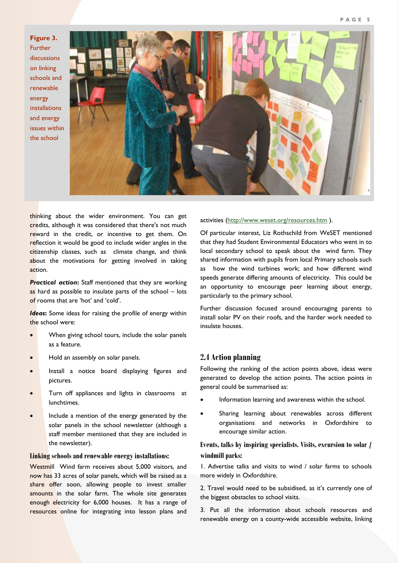**Figure 3.**  Further discussions on linking schools and renewable energy installations and energy issues within the school



thinking about the wider environment. You can get credits, although it was considered that there's not much reward in the credit, or incentive to get them. On reflection it would be good to include wider angles in the citizenship classes, such as climate change, and think about the motivations for getting involved in taking action.

*Practical action***:** Staff mentioned that they are working as hard as possible to insulate parts of the school – lots of rooms that are 'hot' and 'cold'.

*Ideas***:** Some ideas for raising the profile of energy within the school were:

- When giving school tours, include the solar panels as a feature.
- Hold an assembly on solar panels.
- Install a notice board displaying figures and pictures.
- Turn off appliances and lights in classrooms at lunchtimes.
- Include a mention of the energy generated by the solar panels in the school newsletter (although a staff member mentioned that they are included in the newsletter).

#### **Linking schools and renewable energy installations:**

Westmill Wind farm receives about 5,000 visitors, and now has 33 acres of solar panels, which will be raised as a share offer soon, allowing people to invest smaller amounts in the solar farm. The whole site generates enough electricity for 6,000 houses. It has a range of resources online for integrating into lesson plans and activities (<http://www.weset.org/resources.htm> ).

Of particular interest, Liz Rothschild from WeSET mentioned that they had Student Environmental Educators who went in to local secondary school to speak about the wind farm. They shared information with pupils from local Primary schools such as how the wind turbines work; and how different wind speeds generate differing amounts of electricity. This could be an opportunity to encourage peer learning about energy, particularly to the primary school.

Further discussion focused around encouraging parents to install solar PV on their roofs, and the harder work needed to insulate houses.

#### **2.4 Action planning**

Following the ranking of the action points above, ideas were generated to develop the action points. The action points in general could be summarised as:

- Information learning and awareness within the school.
- Sharing learning about renewables across different organisations and networks in Oxfordshire to encourage similar action.

#### **Events, talks by inspiring specialists. Visits, excursion to solar / windmill parks:**

1. Advertise talks and visits to wind / solar farms to schools more widely in Oxfordshire.

2. Travel would need to be subsidised, as it's currently one of the biggest obstacles to school visits.

3. Put all the information about schools resources and renewable energy on a county-wide accessible website, linking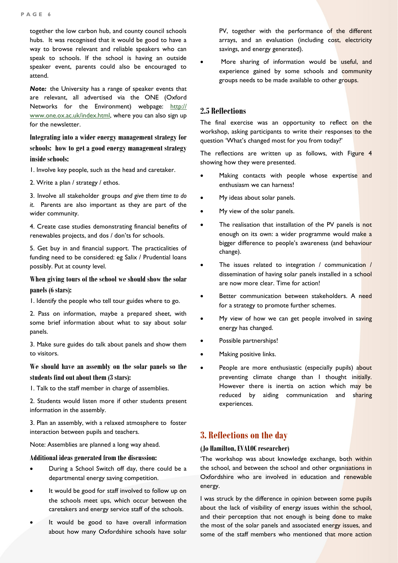together the low carbon hub, and county council schools hubs. It was recognised that it would be good to have a way to browse relevant and reliable speakers who can speak to schools. If the school is having an outside speaker event, parents could also be encouraged to attend.

*Note:* the University has a range of speaker events that are relevant, all advertised via the ONE (Oxford Networks for the Environment) webpage: [http://](http://www.one.ox.ac.uk/index.html) [www.one.ox.ac.uk/index.html,](http://www.one.ox.ac.uk/index.html) where you can also sign up for the newsletter.

**Integrating into a wider energy management strategy for schools: how to get a good energy management strategy inside schools:** 

1. Involve key people, such as the head and caretaker.

2. Write a plan / strategy / ethos.

3. Involve all stakeholder groups *and give them time to do it*. Parents are also important as they are part of the wider community.

4. Create case studies demonstrating financial benefits of renewables projects, and dos / don'ts for schools.

5. Get buy in and financial support. The practicalities of funding need to be considered: eg Salix / Prudential loans possibly. Put at county level.

## **When giving tours of the school we should show the solar**

#### **panels (6 stars):**

1. Identify the people who tell tour guides where to go.

2. Pass on information, maybe a prepared sheet, with some brief information about what to say about solar panels.

3. Make sure guides do talk about panels and show them to visitors.

**We should have an assembly on the solar panels so the students find out about them (3 stars):** 

1. Talk to the staff member in charge of assemblies.

2. Students would listen more if other students present information in the assembly.

3. Plan an assembly, with a relaxed atmosphere to foster interaction between pupils and teachers.

Note: Assemblies are planned a long way ahead.

#### **Additional ideas generated from the discussion:**

- During a School Switch off day, there could be a departmental energy saving competition.
- It would be good for staff involved to follow up on the schools meet ups, which occur between the caretakers and energy service staff of the schools.
- It would be good to have overall information about how many Oxfordshire schools have solar

PV, together with the performance of the different arrays, and an evaluation (including cost, electricity savings, and energy generated).

More sharing of information would be useful, and experience gained by some schools and community groups needs to be made available to other groups.

#### **2.5 Reflections**

The final exercise was an opportunity to reflect on the workshop, asking participants to write their responses to the question 'What's changed most for you from today?'

The reflections are written up as follows, with Figure 4 showing how they were presented.

- Making contacts with people whose expertise and enthusiasm we can harness!
- My ideas about solar panels.
- My view of the solar panels.
- The realisation that installation of the PV panels is not enough on its own: a wider programme would make a bigger difference to people's awareness (and behaviour change).
- The issues related to integration / communication / dissemination of having solar panels installed in a school are now more clear. Time for action!
- Better communication between stakeholders. A need for a strategy to promote further schemes.
- My view of how we can get people involved in saving energy has changed.
- Possible partnerships!
- Making positive links.
- People are more enthusiastic (especially pupils) about preventing climate change than I thought initially. However there is inertia on action which may be reduced by aiding communication and sharing experiences.

#### **3. Reflections on the day**

#### **(Jo Hamilton, EVALOC researcher)**

'The workshop was about knowledge exchange, both within the school, and between the school and other organisations in Oxfordshire who are involved in education and renewable energy.

I was struck by the difference in opinion between some pupils about the lack of visibility of energy issues within the school, and their perception that not enough is being done to make the most of the solar panels and associated energy issues, and some of the staff members who mentioned that more action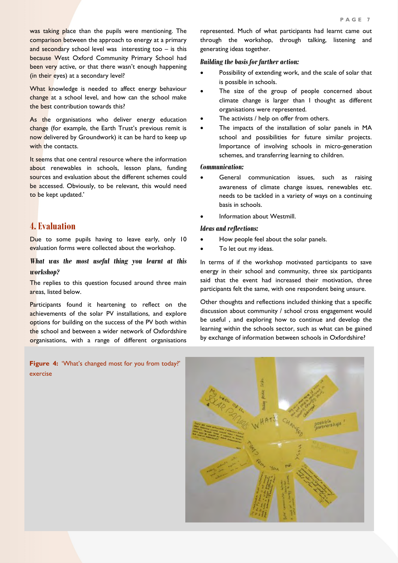was taking place than the pupils were mentioning. The comparison between the approach to energy at a primary and secondary school level was interesting too – is this because West Oxford Community Primary School had been very active, or that there wasn't enough happening (in their eyes) at a secondary level?

What knowledge is needed to affect energy behaviour change at a school level, and how can the school make the best contribution towards this?

As the organisations who deliver energy education change (for example, the Earth Trust's previous remit is now delivered by Groundwork) it can be hard to keep up with the contacts.

It seems that one central resource where the information about renewables in schools, lesson plans, funding sources and evaluation about the different schemes could be accessed. Obviously, to be relevant, this would need to be kept updated.'

#### **4. Evaluation**

Due to some pupils having to leave early, only 10 evaluation forms were collected about the workshop.

*What was the most useful thing you learnt at this workshop?* 

The replies to this question focused around three main areas, listed below.

Participants found it heartening to reflect on the achievements of the solar PV installations, and explore options for building on the success of the PV both within the school and between a wider network of Oxfordshire organisations, with a range of different organisations

**Figure 4: 'What's changed most for you from today?'** exercise

#### *Building the basis for further action:*

- Possibility of extending work, and the scale of solar that is possible in schools.
- The size of the group of people concerned about climate change is larger than I thought as different organisations were represented.
- The activists / help on offer from others.
- The impacts of the installation of solar panels in MA school and possibilities for future similar projects. Importance of involving schools in micro-generation schemes, and transferring learning to children.

#### *Communication:*

- General communication issues, such as raising awareness of climate change issues, renewables etc. needs to be tackled in a variety of ways on a continuing basis in schools.
- Information about Westmill.

#### *Ideas and reflections:*

- How people feel about the solar panels.
- To let out my ideas.

In terms of if the workshop motivated participants to save energy in their school and community, three six participants said that the event had increased their motivation, three participants felt the same, with one respondent being unsure.

Other thoughts and reflections included thinking that a specific discussion about community / school cross engagement would be useful , and exploring how to continue and develop the learning within the schools sector, such as what can be gained by exchange of information between schools in Oxfordshire?